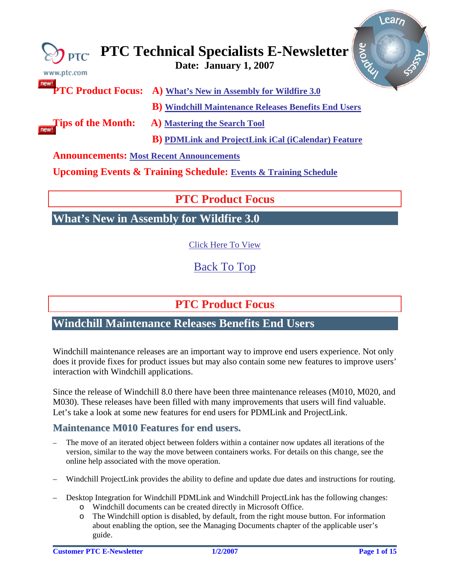<span id="page-0-0"></span>

| www.ptc.com                                     | <b>SIONE</b><br>$\bigotimes_{\mathsf{PTC}}$ PTC Technical Specialists E-Newsletter |
|-------------------------------------------------|------------------------------------------------------------------------------------|
|                                                 | <b>newlier PTC Product Focus:</b> A) What's New in Assembly for Wildfire 3.0       |
|                                                 | <b>B</b> ) Windchill Maintenance Releases Benefits End Users                       |
| <b>Tips of the Month:</b>                       | A) Mastering the Search Tool                                                       |
|                                                 | <b>B</b> ) PDMLink and ProjectLink iCal (iCalendar) Feature                        |
| <b>Announcements: Most Recent Announcements</b> |                                                                                    |
|                                                 | <b>Upcoming Events &amp; Training Schedule: Events &amp; Training Schedule</b>     |

# **PTC Product Focus**

**What's New in Assembly for Wildfire 3.0** 

[Click Here To View](http://members.shaw.ca/jpeng/newsletter/PTC_Technical_Specialists_E-Newsletter_01-01-2007_desktop.pdf)

[Back To Top](#page-0-0)

# **PTC Product Focus**

## **Windchill Maintenance Releases Benefits End Users**

Windchill maintenance releases are an important way to improve end users experience. Not only does it provide fixes for product issues but may also contain some new features to improve users' interaction with Windchill applications.

Since the release of Windchill 8.0 there have been three maintenance releases (M010, M020, and M030). These releases have been filled with many improvements that users will find valuable. Let's take a look at some new features for end users for PDMLink and ProjectLink.

## **Maintenance M010 Features for end users.**

- The move of an iterated object between folders within a container now updates all iterations of the version, similar to the way the move between containers works. For details on this change, see the online help associated with the move operation.
- Windchill ProjectLink provides the ability to define and update due dates and instructions for routing.
- Desktop Integration for Windchill PDMLink and Windchill ProjectLink has the following changes:
	- o Windchill documents can be created directly in Microsoft Office.
	- o The Windchill option is disabled, by default, from the right mouse button. For information about enabling the option, see the Managing Documents chapter of the applicable user's guide.

l ear<sub>r</sub>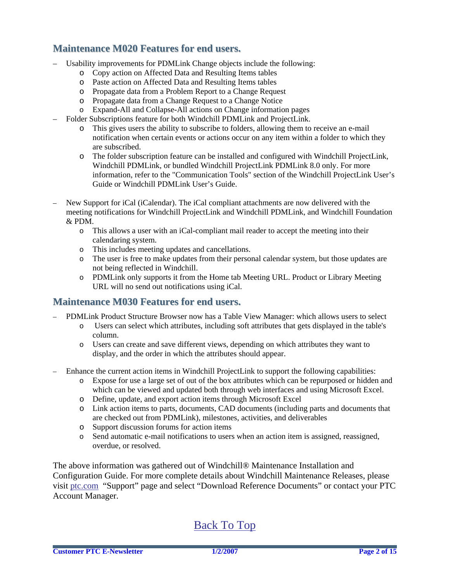### **Maintenance M020 Features for end users.**

- Usability improvements for PDMLink Change objects include the following:
	- o Copy action on Affected Data and Resulting Items tables
	- o Paste action on Affected Data and Resulting Items tables
	- o Propagate data from a Problem Report to a Change Request
	- o Propagate data from a Change Request to a Change Notice
	- o Expand-All and Collapse-All actions on Change information pages
- Folder Subscriptions feature for both Windchill PDMLink and ProjectLink.
	- o This gives users the ability to subscribe to folders, allowing them to receive an e-mail notification when certain events or actions occur on any item within a folder to which they are subscribed.
	- o The folder subscription feature can be installed and configured with Windchill ProjectLink, Windchill PDMLink, or bundled Windchill ProjectLink PDMLink 8.0 only. For more information, refer to the "Communication Tools" section of the Windchill ProjectLink User's Guide or Windchill PDMLink User's Guide.
- New Support for iCal (iCalendar). The iCal compliant attachments are now delivered with the meeting notifications for Windchill ProjectLink and Windchill PDMLink, and Windchill Foundation & PDM.
	- o This allows a user with an iCal-compliant mail reader to accept the meeting into their calendaring system.
	- o This includes meeting updates and cancellations.
	- o The user is free to make updates from their personal calendar system, but those updates are not being reflected in Windchill.
	- o PDMLink only supports it from the Home tab Meeting URL. Product or Library Meeting URL will no send out notifications using iCal.

### **Maintenance M030 Features for end users.**

- PDMLink Product Structure Browser now has a Table View Manager: which allows users to select
	- o Users can select which attributes, including soft attributes that gets displayed in the table's column.
	- o Users can create and save different views, depending on which attributes they want to display, and the order in which the attributes should appear.
- Enhance the current action items in Windchill ProjectLink to support the following capabilities:
	- o Expose for use a large set of out of the box attributes which can be repurposed or hidden and which can be viewed and updated both through web interfaces and using Microsoft Excel.
	- o Define, update, and export action items through Microsoft Excel
	- o Link action items to parts, documents, CAD documents (including parts and documents that are checked out from PDMLink), milestones, activities, and deliverables
	- o Support discussion forums for action items
	- o Send automatic e-mail notifications to users when an action item is assigned, reassigned, overdue, or resolved.

The above information was gathered out of Windchill® Maintenance Installation and Configuration Guide. For more complete details about Windchill Maintenance Releases, please visit [ptc.com](http://www.ptc.com/) "Support" page and select "Download Reference Documents" or contact your PTC Account Manager.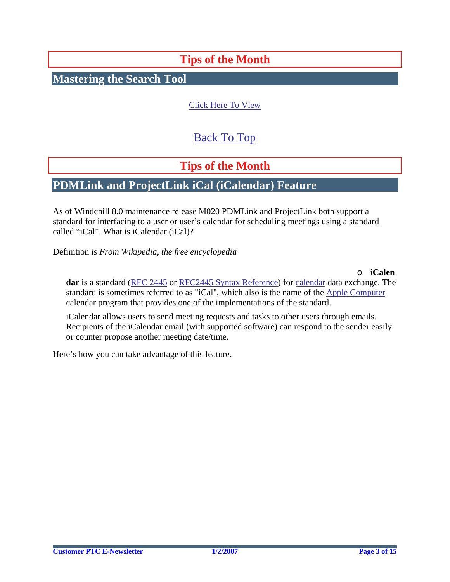# **Tips of the Month**

<span id="page-2-0"></span>**Mastering the Search Tool**

### [Click Here To View](http://members.shaw.ca/jpeng/newsletter/PTC_Technical_Specialists_E-Newsletter_01-01-2007_desktop.pdf)

# [Back To Top](#page-0-0)

# **Tips of the Month**

## **PDMLink and ProjectLink iCal (iCalendar) Feature**

As of Windchill 8.0 maintenance release M020 PDMLink and ProjectLink both support a standard for interfacing to a user or user's calendar for scheduling meetings using a standard called "iCal". What is iCalendar (iCal)?

Definition is *From Wikipedia, the free encyclopedia* 

o **iCalen dar** is a standard (RFC 2445 [or R](http://tools.ietf.org/html/rfc2445)FC2445 Syntax Referenc[e\) for](http://en.wikipedia.org/w/index.php?title=RFC2445_Syntax_Reference&action=edit) calendar [data exchange. The](http://en.wikipedia.org/wiki/Calendar)  [standard is sometimes referred to as "iCal", which also is the name of the](http://en.wikipedia.org/wiki/Calendar) Apple Compute[r](http://en.wikipedia.org/wiki/Apple_Computer) [calendar program that provides one of the implementations of the standard.](http://en.wikipedia.org/wiki/Apple_Computer) 

iCalendar allows users to send meeting requests and tasks to other users through emails. Recipients of the iCalendar email (with supported software) can respond to the sender easily or counter propose another meeting date/time.

Here's how you can take advantage of this feature.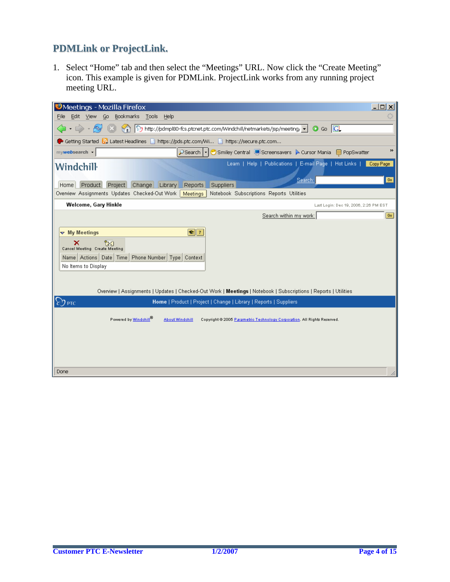## **PDMLink or ProjectLink.**

1. Select "Home" tab and then select the "Meetings" URL. Now click the "Create Meeting" icon. This example is given for PDMLink. ProjectLink works from any running project meeting URL.

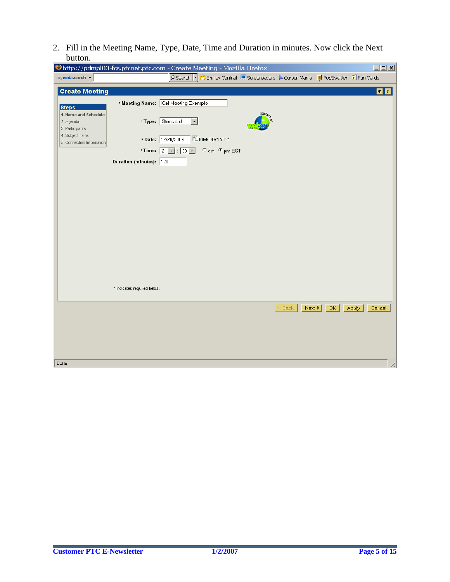2. Fill in the Meeting Name, Type, Date, Time and Duration in minutes. Now click the Next button.

| Chttp://pdmpl80-fcs.ptcnet.ptc.com - Create Meeting - Mozilla Firefox |                              |                                                            |               |                                                                                    |                                    |    | $\Box$ olxi     |
|-----------------------------------------------------------------------|------------------------------|------------------------------------------------------------|---------------|------------------------------------------------------------------------------------|------------------------------------|----|-----------------|
| mywebsearch +                                                         |                              |                                                            |               | PSearch   ▼ Smiley Central DeScreensavers A Cursor Mania DP PopSwatter @ Fun Cards |                                    |    |                 |
| <b>Create Meeting</b>                                                 |                              |                                                            |               |                                                                                    |                                    |    | S1              |
| <b>Steps</b>                                                          |                              | * Meeting Name: [Cal Meeting Example                       |               |                                                                                    |                                    |    |                 |
| 1. Name and Schedule<br>2. Agenda<br>3. Participants                  |                              | * Type: Standard<br>$\vert \cdot \vert$                    |               | POWERED                                                                            |                                    |    |                 |
| 4. Subject Items<br>5. Connection Information                         |                              | * Date: 12/26/2006                                         | MM/DD/YYYY    |                                                                                    |                                    |    |                 |
|                                                                       |                              | * Time: $\boxed{2}$ $\boxed{3}$ : $\boxed{00}$ $\boxed{4}$ | C am C pm EST |                                                                                    |                                    |    |                 |
|                                                                       | Duration (minutes): 120      |                                                            |               |                                                                                    |                                    |    |                 |
|                                                                       |                              |                                                            |               |                                                                                    |                                    |    |                 |
|                                                                       |                              |                                                            |               |                                                                                    |                                    |    |                 |
|                                                                       |                              |                                                            |               |                                                                                    |                                    |    |                 |
|                                                                       |                              |                                                            |               |                                                                                    |                                    |    |                 |
|                                                                       |                              |                                                            |               |                                                                                    |                                    |    |                 |
|                                                                       |                              |                                                            |               |                                                                                    |                                    |    |                 |
|                                                                       |                              |                                                            |               |                                                                                    |                                    |    |                 |
|                                                                       |                              |                                                            |               |                                                                                    |                                    |    |                 |
|                                                                       |                              |                                                            |               |                                                                                    |                                    |    |                 |
|                                                                       |                              |                                                            |               |                                                                                    |                                    |    |                 |
|                                                                       | * Indicates required fields. |                                                            |               |                                                                                    |                                    |    |                 |
|                                                                       |                              |                                                            |               |                                                                                    | Back<br>Next $\blacktriangleright$ | OK | Apply<br>Cancel |
|                                                                       |                              |                                                            |               |                                                                                    |                                    |    |                 |
|                                                                       |                              |                                                            |               |                                                                                    |                                    |    |                 |
|                                                                       |                              |                                                            |               |                                                                                    |                                    |    |                 |
|                                                                       |                              |                                                            |               |                                                                                    |                                    |    |                 |
| Done                                                                  |                              |                                                            |               |                                                                                    |                                    |    | h,              |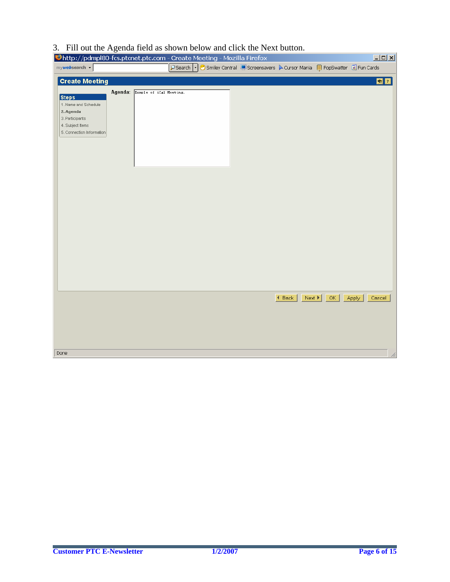## 3. Fill out the Agenda field as shown below and click the Next button.

| Dhttp://pdmpl80-fcs.ptcnet.ptc.com - Create Meeting - Mozilla Firefox |                                 |  |                                                                                 |                              |    | $\Box$ D $\Box$ |
|-----------------------------------------------------------------------|---------------------------------|--|---------------------------------------------------------------------------------|------------------------------|----|-----------------|
| mywebsearch -                                                         |                                 |  | PSearch v Smiley Central escreensavers A Cursor Mania en PopSwatter e Fun Cards |                              |    |                 |
| <b>Create Meeting</b>                                                 |                                 |  |                                                                                 |                              |    | S2              |
|                                                                       |                                 |  |                                                                                 |                              |    |                 |
| <b>Steps</b>                                                          | Agenda: Exmple of iCal Meeting. |  |                                                                                 |                              |    |                 |
| 1. Name and Schedule                                                  |                                 |  |                                                                                 |                              |    |                 |
| 2. Agenda                                                             |                                 |  |                                                                                 |                              |    |                 |
| 3. Participants                                                       |                                 |  |                                                                                 |                              |    |                 |
| 4. Subject Items<br>5. Connection Information                         |                                 |  |                                                                                 |                              |    |                 |
|                                                                       |                                 |  |                                                                                 |                              |    |                 |
|                                                                       |                                 |  |                                                                                 |                              |    |                 |
|                                                                       |                                 |  |                                                                                 |                              |    |                 |
|                                                                       |                                 |  |                                                                                 |                              |    |                 |
|                                                                       |                                 |  |                                                                                 |                              |    |                 |
|                                                                       |                                 |  |                                                                                 |                              |    |                 |
|                                                                       |                                 |  |                                                                                 |                              |    |                 |
|                                                                       |                                 |  |                                                                                 |                              |    |                 |
|                                                                       |                                 |  |                                                                                 |                              |    |                 |
|                                                                       |                                 |  |                                                                                 |                              |    |                 |
|                                                                       |                                 |  |                                                                                 |                              |    |                 |
|                                                                       |                                 |  |                                                                                 |                              |    |                 |
|                                                                       |                                 |  |                                                                                 |                              |    |                 |
|                                                                       |                                 |  |                                                                                 |                              |    |                 |
|                                                                       |                                 |  |                                                                                 |                              |    |                 |
|                                                                       |                                 |  |                                                                                 |                              |    |                 |
|                                                                       |                                 |  |                                                                                 |                              |    |                 |
|                                                                       |                                 |  |                                                                                 |                              |    |                 |
|                                                                       |                                 |  |                                                                                 |                              |    |                 |
|                                                                       |                                 |  |                                                                                 |                              |    |                 |
|                                                                       |                                 |  |                                                                                 | $\triangleleft$ Back<br>Next | OK | Apply<br>Cancel |
|                                                                       |                                 |  |                                                                                 |                              |    |                 |
|                                                                       |                                 |  |                                                                                 |                              |    |                 |
|                                                                       |                                 |  |                                                                                 |                              |    |                 |
|                                                                       |                                 |  |                                                                                 |                              |    |                 |
|                                                                       |                                 |  |                                                                                 |                              |    |                 |
| Done                                                                  |                                 |  |                                                                                 |                              |    | h,              |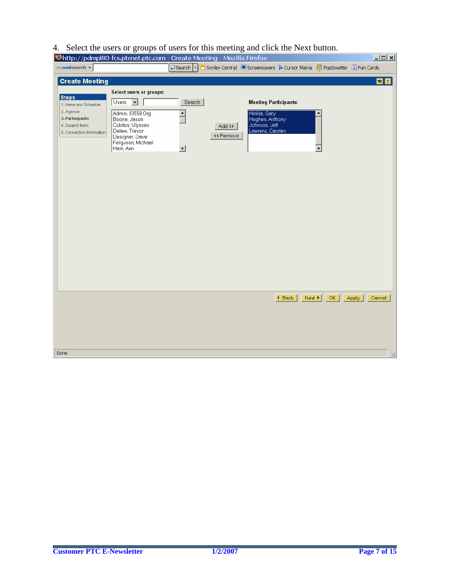## 4. Select the users or groups of users for this meeting and click the Next button.

|                                                                                                                       | Uhttp://pdmpl80-fcs.ptcnet.ptc.com - Create Meeting - Mozilla Firefox                                                                                                           |                                     |                     |                                                                                                      |                                                                      |     |       | $\Box$         |
|-----------------------------------------------------------------------------------------------------------------------|---------------------------------------------------------------------------------------------------------------------------------------------------------------------------------|-------------------------------------|---------------------|------------------------------------------------------------------------------------------------------|----------------------------------------------------------------------|-----|-------|----------------|
| mywebsearch +                                                                                                         |                                                                                                                                                                                 | $\rho$ Search $\lvert \cdot \rvert$ |                     |                                                                                                      | Smiley Central CScreensavers > Cursor Mania C PopSwatter C Fun Cards |     |       |                |
| <b>Create Meeting</b>                                                                                                 |                                                                                                                                                                                 |                                     |                     |                                                                                                      |                                                                      |     |       | S <sub>2</sub> |
| <b>Steps</b><br>1. Name and Schedule<br>2. Agenda<br>3. Participants<br>4. Subject Items<br>5. Connection Information | Select users or groups:<br>Users $\boxed{\bullet}$<br>Admin, 83558 Org<br>Boone, Jason<br>Cubilos, Ulysses<br>Delew, Trevor<br>Designer, Dave<br>Ferguson, Michael<br>Hein, Ann | Search<br>$\triangle$<br>▼          | Add >><br><< Remove | <b>Meeting Participants:</b><br>Hinkle, Gary<br>Hughes, Anthony<br>Johnson, Jeff<br>Lawrenz, Carsten |                                                                      |     |       |                |
|                                                                                                                       |                                                                                                                                                                                 |                                     |                     |                                                                                                      | $\blacktriangleleft$ Back<br>Next $\blacktriangleright$              | OK. | Apply | Cancel         |
|                                                                                                                       |                                                                                                                                                                                 |                                     |                     |                                                                                                      |                                                                      |     |       |                |
|                                                                                                                       |                                                                                                                                                                                 |                                     |                     |                                                                                                      |                                                                      |     |       |                |
| Done                                                                                                                  |                                                                                                                                                                                 |                                     |                     |                                                                                                      |                                                                      |     |       | h,             |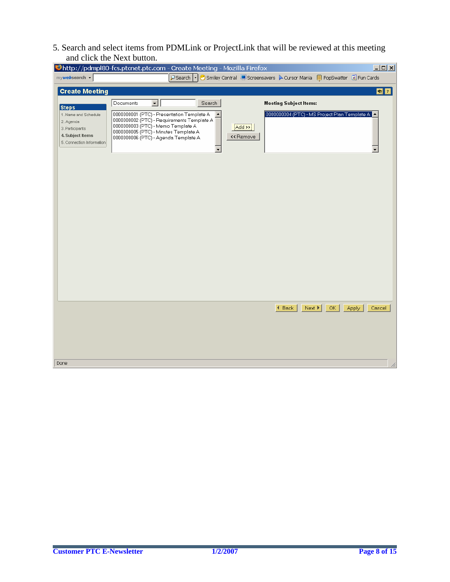5. Search and select items from PDMLink or ProjectLink that will be reviewed at this meeting and click the Next button.

|                                                                                                       | Chttp://pdmpl80-fcs.ptcnet.ptc.com - Create Meeting - Mozilla Firefox                                                                                                                                                                                                                               | $\Box$ D $\Box$ |
|-------------------------------------------------------------------------------------------------------|-----------------------------------------------------------------------------------------------------------------------------------------------------------------------------------------------------------------------------------------------------------------------------------------------------|-----------------|
| mywebsearch -                                                                                         | PSearch  ▼ Smiley Central DeScreensavers A Cursor Mania DepSwatter @ Fun Cards                                                                                                                                                                                                                      |                 |
| <b>Create Meeting</b>                                                                                 |                                                                                                                                                                                                                                                                                                     | S <sub>1</sub>  |
| <b>Steps</b>                                                                                          | Documents<br>$\overline{\phantom{a}}$<br>Search<br><b>Meeting Subject Items:</b>                                                                                                                                                                                                                    |                 |
| 1. Name and Schedule<br>2. Agenda<br>3. Participants<br>4. Subject Items<br>5. Connection Information | 0000000001 (PTC) - Presentation Template A<br>0000000004 (PTC) - MS Project Plan Template A<br>0000000002 (PTC) - Requirements Template A<br>0000000003 (PTC) - Memo Template A<br>$ Add \rightarrow$<br>0000000005 (PTC) - Minutes Template A<br><< Remove<br>0000000006 (PTC) - Agenda Template A |                 |
|                                                                                                       |                                                                                                                                                                                                                                                                                                     |                 |
|                                                                                                       |                                                                                                                                                                                                                                                                                                     |                 |
|                                                                                                       |                                                                                                                                                                                                                                                                                                     |                 |
|                                                                                                       |                                                                                                                                                                                                                                                                                                     |                 |
|                                                                                                       |                                                                                                                                                                                                                                                                                                     |                 |
|                                                                                                       | 4 Back<br>OK.<br>Next $\blacktriangleright$<br>Apply                                                                                                                                                                                                                                                | Cancel          |
|                                                                                                       |                                                                                                                                                                                                                                                                                                     |                 |
|                                                                                                       |                                                                                                                                                                                                                                                                                                     |                 |
|                                                                                                       |                                                                                                                                                                                                                                                                                                     |                 |
|                                                                                                       |                                                                                                                                                                                                                                                                                                     |                 |
| Done                                                                                                  |                                                                                                                                                                                                                                                                                                     | h,              |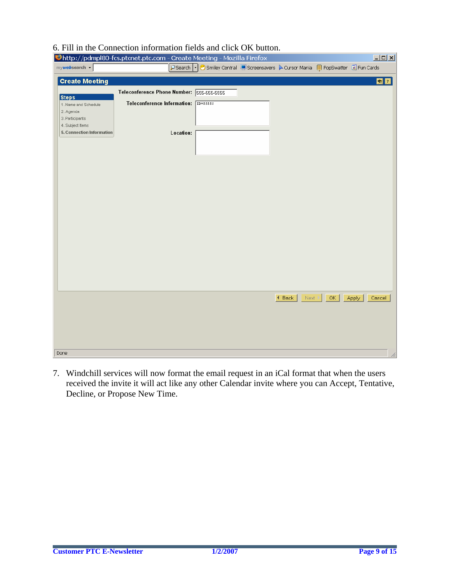### 6. Fill in the Connection information fields and click OK button.

|                                   | Chttp://pdmpl80-fcs.ptcnet.ptc.com - Create Meeting - Mozilla Firefox |           |                                                                                  |                                                |     | $\Box$ o $\boxtimes$ |
|-----------------------------------|-----------------------------------------------------------------------|-----------|----------------------------------------------------------------------------------|------------------------------------------------|-----|----------------------|
| mywebsearch -                     |                                                                       |           | PSearch   • Smiley Central ■Screensavers A Cursor Mania ■ PopSwatter e Fun Cards |                                                |     |                      |
|                                   |                                                                       |           |                                                                                  |                                                |     |                      |
| <b>Create Meeting</b>             |                                                                       |           |                                                                                  |                                                |     | $\bullet$ ?          |
|                                   | Teleconference Phone Number: 555-555-5555                             |           |                                                                                  |                                                |     |                      |
| <b>Steps</b>                      | Teleconference Information: [ID=55555]                                |           |                                                                                  |                                                |     |                      |
| 1. Name and Schedule<br>2. Agenda |                                                                       |           |                                                                                  |                                                |     |                      |
| 3. Participants                   |                                                                       |           |                                                                                  |                                                |     |                      |
| 4. Subject Items                  |                                                                       |           |                                                                                  |                                                |     |                      |
| 5. Connection Information         |                                                                       | Location: |                                                                                  |                                                |     |                      |
|                                   |                                                                       |           |                                                                                  |                                                |     |                      |
|                                   |                                                                       |           |                                                                                  |                                                |     |                      |
|                                   |                                                                       |           |                                                                                  |                                                |     |                      |
|                                   |                                                                       |           |                                                                                  |                                                |     |                      |
|                                   |                                                                       |           |                                                                                  |                                                |     |                      |
|                                   |                                                                       |           |                                                                                  |                                                |     |                      |
|                                   |                                                                       |           |                                                                                  |                                                |     |                      |
|                                   |                                                                       |           |                                                                                  |                                                |     |                      |
|                                   |                                                                       |           |                                                                                  |                                                |     |                      |
|                                   |                                                                       |           |                                                                                  |                                                |     |                      |
|                                   |                                                                       |           |                                                                                  |                                                |     |                      |
|                                   |                                                                       |           |                                                                                  |                                                |     |                      |
|                                   |                                                                       |           |                                                                                  |                                                |     |                      |
|                                   |                                                                       |           |                                                                                  |                                                |     |                      |
|                                   |                                                                       |           |                                                                                  |                                                |     |                      |
|                                   |                                                                       |           |                                                                                  |                                                |     |                      |
|                                   |                                                                       |           |                                                                                  |                                                |     |                      |
|                                   |                                                                       |           |                                                                                  |                                                |     |                      |
|                                   |                                                                       |           |                                                                                  |                                                |     |                      |
|                                   |                                                                       |           |                                                                                  |                                                |     |                      |
|                                   |                                                                       |           |                                                                                  |                                                |     |                      |
|                                   |                                                                       |           |                                                                                  | $\blacktriangleleft$ Back<br>Next <sup>1</sup> | OK. | Apply<br>Cancel      |
|                                   |                                                                       |           |                                                                                  |                                                |     |                      |
|                                   |                                                                       |           |                                                                                  |                                                |     |                      |
|                                   |                                                                       |           |                                                                                  |                                                |     |                      |
|                                   |                                                                       |           |                                                                                  |                                                |     |                      |
|                                   |                                                                       |           |                                                                                  |                                                |     |                      |
|                                   |                                                                       |           |                                                                                  |                                                |     |                      |
| Done                              |                                                                       |           |                                                                                  |                                                |     | h,                   |

7. Windchill services will now format the email request in an iCal format that when the users received the invite it will act like any other Calendar invite where you can Accept, Tentative, Decline, or Propose New Time.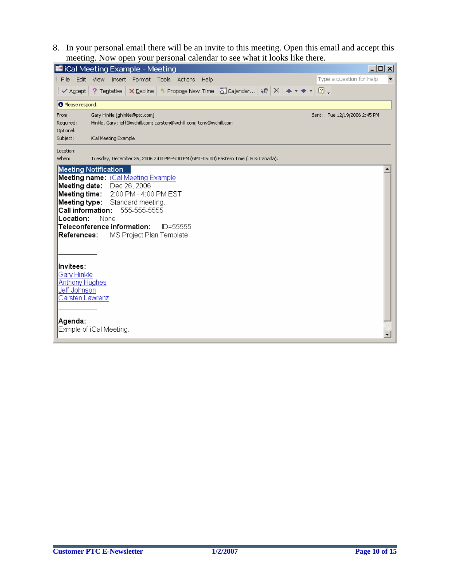8. In your personal email there will be an invite to this meeting. Open this email and accept this meeting. Now open your personal calendar to see what it looks like there.

|                                                                                                                                                                                         | <b>E iCal Meeting Example - Meeting</b>                                                                                                                                                                                                                                                                                                                                                                                                                              | $ \Box$ $\times$         |
|-----------------------------------------------------------------------------------------------------------------------------------------------------------------------------------------|----------------------------------------------------------------------------------------------------------------------------------------------------------------------------------------------------------------------------------------------------------------------------------------------------------------------------------------------------------------------------------------------------------------------------------------------------------------------|--------------------------|
| Edit<br>Eile                                                                                                                                                                            | Type a question for help<br>Insert Format Tools Actions<br>View<br>Help                                                                                                                                                                                                                                                                                                                                                                                              | $\overline{\phantom{a}}$ |
|                                                                                                                                                                                         | $\blacktriangleright$ $\blacktriangle$ Accept $\mid$ ? Tentative $\mid$ $\blacktriangleright$ $\blacktriangleright$ $\blacktriangleright$ $\blacktriangleright$ $\text{Propag}$ $\blacktriangleright$ $\mid$ $\text{Propag}$ $\mid$ $\text{Propag}$ $\blacktriangleright$ $\mid$ $\text{Propag}$ $\blacktriangleright$ $\mid$ $\text{Propag}$ $\blacktriangleright$ $\mid$ $\text{Propag}$ $\blacktriangleright$ $\mid$ $\text{Propag}$ $\blacktriangleright$ $\mid$ |                          |
| <b>O</b> Please respond.                                                                                                                                                                |                                                                                                                                                                                                                                                                                                                                                                                                                                                                      |                          |
| From:<br>Required:<br>Optional:                                                                                                                                                         | Gary Hinkle [ghinkle@ptc.com]<br>Sent: Tue 12/19/2006 2:45 PM<br>Hinkle, Gary; jeff@wchill.com; carsten@wchill.com; tony@wchill.com                                                                                                                                                                                                                                                                                                                                  |                          |
| Subject:                                                                                                                                                                                | iCal Meeting Example                                                                                                                                                                                                                                                                                                                                                                                                                                                 |                          |
| Location:<br>When:                                                                                                                                                                      | Tuesday, December 26, 2006 2:00 PM-4:00 PM (GMT-05:00) Eastern Time (US & Canada).                                                                                                                                                                                                                                                                                                                                                                                   |                          |
| <b>Meeting Notification</b><br><b>Call information:</b><br>Location:<br>References:<br>lInvitees:<br>Gary Hinkle<br><b>Anthony Hughes</b><br>Jeff Johnson<br>Carsten Lawrenz<br>Agenda: | <b>Meeting name:</b> iCal Meeting Example<br>Meeting date: Dec 26, 2006<br>Meeting time: 2:00 PM - 4:00 PM EST<br><b>Meeting type:</b> Standard meeting.<br>555-555-5555<br>None<br>Teleconference information:<br>$ID = 555555$<br>MS Project Plan Template<br>Exmple of iCal Meeting.                                                                                                                                                                              |                          |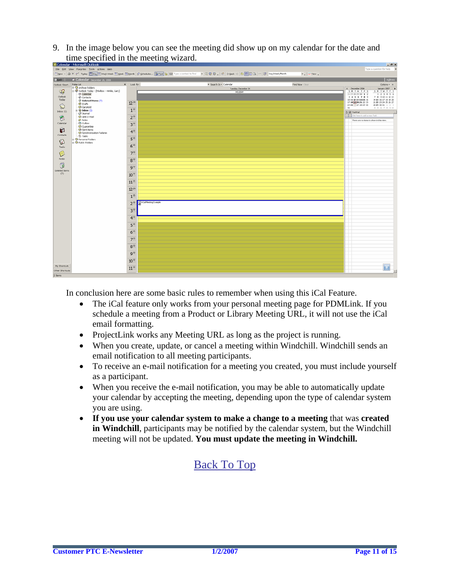9. In the image below you can see the meeting did show up on my calendar for the date and time specified in the meeting wizard.



In conclusion here are some basic rules to remember when using this iCal Feature.

- The iCal feature only works from your personal meeting page for PDMLink. If you schedule a meeting from a Product or Library Meeting URL, it will not use the iCal email formatting.
- ProjectLink works any Meeting URL as long as the project is running.
- When you create, update, or cancel a meeting within Windchill. Windchill sends an email notification to all meeting participants.
- To receive an e-mail notification for a meeting you created, you must include yourself as a participant.
- When you receive the e-mail notification, you may be able to automatically update your calendar by accepting the meeting, depending upon the type of calendar system you are using.
- **If you use your calendar system to make a change to a meeting** that was **created in Windchill**, participants may be notified by the calendar system, but the Windchill meeting will not be updated. **You must update the meeting in Windchill.**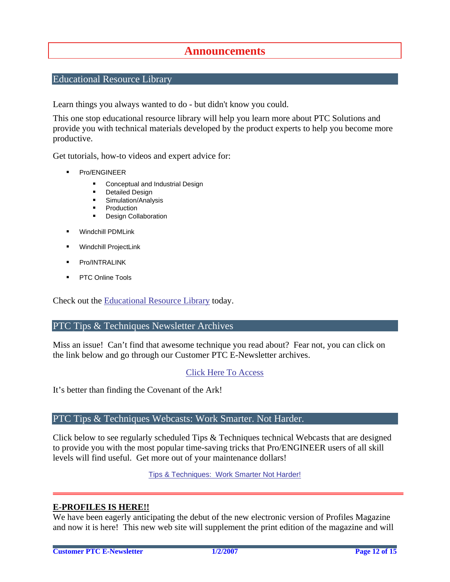## **Announcements**

### <span id="page-11-0"></span>Educational Resource Library

Learn things you always wanted to do - but didn't know you could.

This one stop educational resource library will help you learn more about PTC Solutions and provide you with technical materials developed by the product experts to help you become more productive.

Get tutorials, how-to videos and expert advice for:

- **Pro/ENGINEER** 
	- **EXECONCEPT** Conceptual and Industrial Design
	- **•** Detailed Design
	- **Simulation/Analysis**
	- Production
	- Design Collaboration
- Windchill PDMLink
- Windchill ProjectLink
- Pro/INTRALINK
- PTC Online Tools

Check out the [Educational Resource Library](http://www.ptc.com/community/proewf/newtools/tutorials.htm) today.

#### PTC Tips & Techniques Newsletter Archives

Miss an issue! Can't find that awesome technique you read about? Fear not, you can click on the link below and go through our Customer PTC E-Newsletter archives.

### [Click Here To Access](http://www.ptc.com/carezone/archive/index.htm)

It's better than finding the Covenant of the Ark!

### PTC Tips & Techniques Webcasts: Work Smarter. Not Harder.

Click below to see regularly scheduled Tips & Techniques technical Webcasts that are designed to provide you with the most popular time-saving tricks that Pro/ENGINEER users of all skill levels will find useful. Get more out of your maintenance dollars!

Tips & Techniques: Work Smarter Not Harder!

### **E-PROFILES IS HERE!!**

We have been eagerly anticipating the debut of the new electronic version of Profiles Magazine and now it is here! This new web site will supplement the print edition of the magazine and will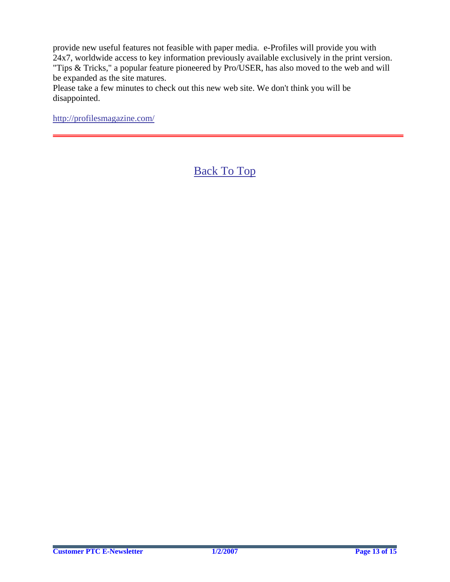provide new useful features not feasible with paper media. e-Profiles will provide you with 24x7, worldwide access to key information previously available exclusively in the print version. "Tips & Tricks," a popular feature pioneered by Pro/USER, has also moved to the web and will be expanded as the site matures.

Please take a few minutes to check out this new web site. We don't think you will be disappointed.

<http://profilesmagazine.com/>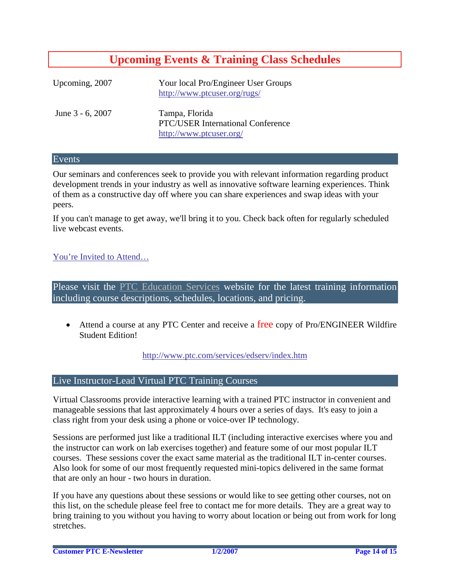# **Upcoming Events & Training Class Schedules**

<span id="page-13-0"></span>

| Upcoming, 2007      | Your local Pro/Engineer User Groups<br>http://www.ptcuser.org/rugs/                   |
|---------------------|---------------------------------------------------------------------------------------|
| June $3 - 6$ , 2007 | Tampa, Florida<br><b>PTC/USER International Conference</b><br>http://www.ptcuser.org/ |

#### Events

Our seminars and conferences seek to provide you with relevant information regarding product development trends in your industry as well as innovative software learning experiences. Think of them as a constructive day off where you can share experiences and swap ideas with your peers.

If you can't manage to get away, we'll bring it to you. Check back often for regularly scheduled live webcast events.

### [You're Invited to Attend…](http://www.ptc.com/company/news/events/index.htm)

Please visit the [PTC Education Services](http://www.ptc.com/services/edserv/) website for the latest training information including course descriptions, schedules, locations, and pricing.

• Attend a course at any PTC Center and receive a free copy of Pro/ENGINEER Wildfire Student Edition!

<http://www.ptc.com/services/edserv/index.htm>

### Live Instructor-Lead Virtual PTC Training Courses

Virtual Classrooms provide interactive learning with a trained PTC instructor in convenient and manageable sessions that last approximately 4 hours over a series of days. It's easy to join a class right from your desk using a phone or voice-over IP technology.

Sessions are performed just like a traditional ILT (including interactive exercises where you and the instructor can work on lab exercises together) and feature some of our most popular ILT courses. These sessions cover the exact same material as the traditional ILT in-center courses. Also look for some of our most frequently requested mini-topics delivered in the same format that are only an hour - two hours in duration.

If you have any questions about these sessions or would like to see getting other courses, not on this list, on the schedule please feel free to contact me for more details. They are a great way to bring training to you without you having to worry about location or being out from work for long stretches.